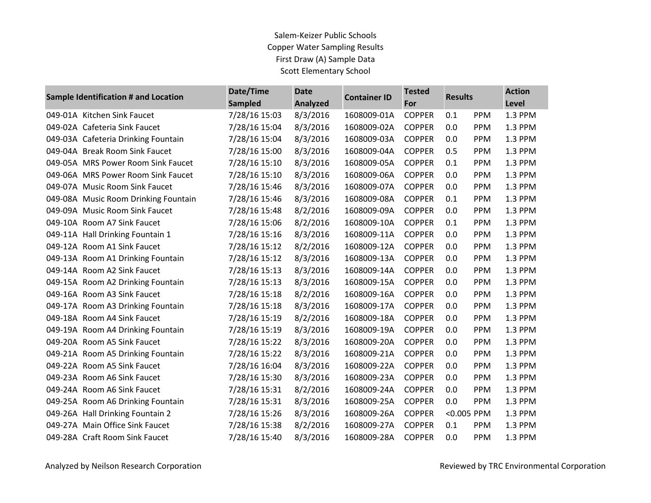| Sample Identification # and Location | Date/Time<br>Sampled | <b>Date</b><br><b>Analyzed</b> | <b>Container ID</b> | <b>Tested</b><br>For | <b>Results</b> |            | <b>Action</b><br>Level |
|--------------------------------------|----------------------|--------------------------------|---------------------|----------------------|----------------|------------|------------------------|
| 049-01A Kitchen Sink Faucet          | 7/28/16 15:03        | 8/3/2016                       | 1608009-01A         | <b>COPPER</b>        | 0.1            | <b>PPM</b> | 1.3 PPM                |
| 049-02A Cafeteria Sink Faucet        | 7/28/16 15:04        | 8/3/2016                       | 1608009-02A         | <b>COPPER</b>        | 0.0            | PPM        | 1.3 PPM                |
| 049-03A Cafeteria Drinking Fountain  | 7/28/16 15:04        | 8/3/2016                       | 1608009-03A         | <b>COPPER</b>        | 0.0            | <b>PPM</b> | 1.3 PPM                |
| 049-04A Break Room Sink Faucet       | 7/28/16 15:00        | 8/3/2016                       | 1608009-04A         | <b>COPPER</b>        | 0.5            | PPM        | 1.3 PPM                |
| 049-05A MRS Power Room Sink Faucet   | 7/28/16 15:10        | 8/3/2016                       | 1608009-05A         | <b>COPPER</b>        | 0.1            | PPM        | 1.3 PPM                |
| 049-06A MRS Power Room Sink Faucet   | 7/28/16 15:10        | 8/3/2016                       | 1608009-06A         | <b>COPPER</b>        | 0.0            | <b>PPM</b> | 1.3 PPM                |
| 049-07A Music Room Sink Faucet       | 7/28/16 15:46        | 8/3/2016                       | 1608009-07A         | <b>COPPER</b>        | 0.0            | <b>PPM</b> | 1.3 PPM                |
| 049-08A Music Room Drinking Fountain | 7/28/16 15:46        | 8/3/2016                       | 1608009-08A         | <b>COPPER</b>        | 0.1            | PPM        | 1.3 PPM                |
| 049-09A Music Room Sink Faucet       | 7/28/16 15:48        | 8/2/2016                       | 1608009-09A         | <b>COPPER</b>        | 0.0            | <b>PPM</b> | 1.3 PPM                |
| 049-10A Room A7 Sink Faucet          | 7/28/16 15:06        | 8/2/2016                       | 1608009-10A         | <b>COPPER</b>        | 0.1            | <b>PPM</b> | 1.3 PPM                |
| 049-11A Hall Drinking Fountain 1     | 7/28/16 15:16        | 8/3/2016                       | 1608009-11A         | <b>COPPER</b>        | 0.0            | <b>PPM</b> | 1.3 PPM                |
| 049-12A Room A1 Sink Faucet          | 7/28/16 15:12        | 8/2/2016                       | 1608009-12A         | <b>COPPER</b>        | 0.0            | <b>PPM</b> | 1.3 PPM                |
|                                      |                      |                                |                     |                      |                |            |                        |
| 049-13A Room A1 Drinking Fountain    | 7/28/16 15:12        | 8/3/2016                       | 1608009-13A         | <b>COPPER</b>        | 0.0            | PPM        | 1.3 PPM                |
| 049-14A Room A2 Sink Faucet          | 7/28/16 15:13        | 8/3/2016                       | 1608009-14A         | <b>COPPER</b>        | 0.0            | PPM        | 1.3 PPM                |
| 049-15A Room A2 Drinking Fountain    | 7/28/16 15:13        | 8/3/2016                       | 1608009-15A         | <b>COPPER</b>        | 0.0            | <b>PPM</b> | 1.3 PPM                |
| 049-16A Room A3 Sink Faucet          | 7/28/16 15:18        | 8/2/2016                       | 1608009-16A         | <b>COPPER</b>        | 0.0            | PPM        | 1.3 PPM                |
| 049-17A Room A3 Drinking Fountain    | 7/28/16 15:18        | 8/3/2016                       | 1608009-17A         | <b>COPPER</b>        | 0.0            | PPM        | 1.3 PPM                |
| 049-18A Room A4 Sink Faucet          | 7/28/16 15:19        | 8/2/2016                       | 1608009-18A         | <b>COPPER</b>        | 0.0            | <b>PPM</b> | 1.3 PPM                |
| 049-19A Room A4 Drinking Fountain    | 7/28/16 15:19        | 8/3/2016                       | 1608009-19A         | <b>COPPER</b>        | 0.0            | PPM        | 1.3 PPM                |
| 049-20A Room A5 Sink Faucet          | 7/28/16 15:22        | 8/3/2016                       | 1608009-20A         | <b>COPPER</b>        | 0.0            | PPM        | 1.3 PPM                |
| 049-21A Room A5 Drinking Fountain    | 7/28/16 15:22        | 8/3/2016                       | 1608009-21A         | <b>COPPER</b>        | 0.0            | <b>PPM</b> | 1.3 PPM                |
| 049-22A Room A5 Sink Faucet          | 7/28/16 16:04        | 8/3/2016                       | 1608009-22A         | <b>COPPER</b>        | 0.0            | PPM        | 1.3 PPM                |
| 049-23A Room A6 Sink Faucet          | 7/28/16 15:30        | 8/3/2016                       | 1608009-23A         | <b>COPPER</b>        | 0.0            | <b>PPM</b> | 1.3 PPM                |
| 049-24A Room A6 Sink Faucet          | 7/28/16 15:31        | 8/2/2016                       | 1608009-24A         | <b>COPPER</b>        | 0.0            | <b>PPM</b> | 1.3 PPM                |
| 049-25A Room A6 Drinking Fountain    | 7/28/16 15:31        | 8/3/2016                       | 1608009-25A         | <b>COPPER</b>        | 0.0            | PPM        | 1.3 PPM                |
| 049-26A Hall Drinking Fountain 2     | 7/28/16 15:26        | 8/3/2016                       | 1608009-26A         | <b>COPPER</b>        | <0.005 PPM     |            | 1.3 PPM                |
| 049-27A Main Office Sink Faucet      | 7/28/16 15:38        | 8/2/2016                       | 1608009-27A         | <b>COPPER</b>        | 0.1            | PPM        | 1.3 PPM                |
| 049-28A Craft Room Sink Faucet       | 7/28/16 15:40        | 8/3/2016                       | 1608009-28A         | <b>COPPER</b>        | 0.0            | <b>PPM</b> | 1.3 PPM                |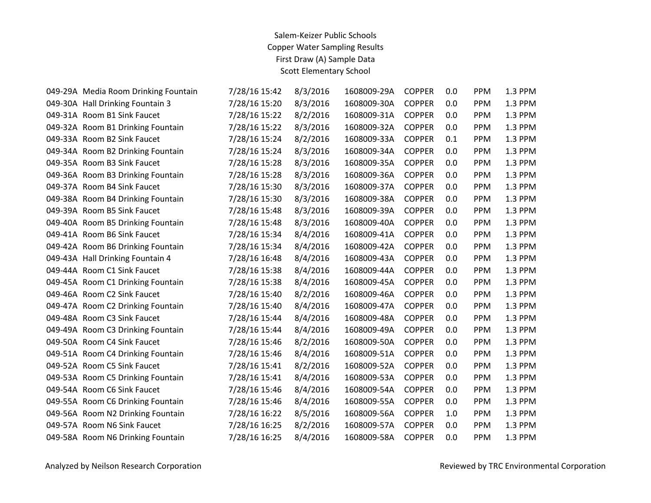| 049-29A Media Room Drinking Fountain | 7/28/16 15:42 | 8/3/2016 | 1608009-29A | <b>COPPER</b> | 0.0 | <b>PPM</b> | 1.3 PPM |
|--------------------------------------|---------------|----------|-------------|---------------|-----|------------|---------|
| 049-30A Hall Drinking Fountain 3     | 7/28/16 15:20 | 8/3/2016 | 1608009-30A | <b>COPPER</b> | 0.0 | PPM        | 1.3 PPM |
| 049-31A Room B1 Sink Faucet          | 7/28/16 15:22 | 8/2/2016 | 1608009-31A | <b>COPPER</b> | 0.0 | PPM        | 1.3 PPM |
| 049-32A Room B1 Drinking Fountain    | 7/28/16 15:22 | 8/3/2016 | 1608009-32A | <b>COPPER</b> | 0.0 | PPM        | 1.3 PPM |
| 049-33A Room B2 Sink Faucet          | 7/28/16 15:24 | 8/2/2016 | 1608009-33A | <b>COPPER</b> | 0.1 | PPM        | 1.3 PPM |
| 049-34A Room B2 Drinking Fountain    | 7/28/16 15:24 | 8/3/2016 | 1608009-34A | <b>COPPER</b> | 0.0 | PPM        | 1.3 PPM |
| 049-35A Room B3 Sink Faucet          | 7/28/16 15:28 | 8/3/2016 | 1608009-35A | <b>COPPER</b> | 0.0 | PPM        | 1.3 PPM |
| 049-36A Room B3 Drinking Fountain    | 7/28/16 15:28 | 8/3/2016 | 1608009-36A | <b>COPPER</b> | 0.0 | PPM        | 1.3 PPM |
| 049-37A Room B4 Sink Faucet          | 7/28/16 15:30 | 8/3/2016 | 1608009-37A | <b>COPPER</b> | 0.0 | PPM        | 1.3 PPM |
| 049-38A Room B4 Drinking Fountain    | 7/28/16 15:30 | 8/3/2016 | 1608009-38A | <b>COPPER</b> | 0.0 | PPM        | 1.3 PPM |
| 049-39A Room B5 Sink Faucet          | 7/28/16 15:48 | 8/3/2016 | 1608009-39A | <b>COPPER</b> | 0.0 | PPM        | 1.3 PPM |
| 049-40A Room B5 Drinking Fountain    | 7/28/16 15:48 | 8/3/2016 | 1608009-40A | <b>COPPER</b> | 0.0 | PPM        | 1.3 PPM |
| 049-41A Room B6 Sink Faucet          | 7/28/16 15:34 | 8/4/2016 | 1608009-41A | <b>COPPER</b> | 0.0 | PPM        | 1.3 PPM |
| 049-42A Room B6 Drinking Fountain    | 7/28/16 15:34 | 8/4/2016 | 1608009-42A | <b>COPPER</b> | 0.0 | PPM        | 1.3 PPM |
| 049-43A Hall Drinking Fountain 4     | 7/28/16 16:48 | 8/4/2016 | 1608009-43A | <b>COPPER</b> | 0.0 | PPM        | 1.3 PPM |
| 049-44A Room C1 Sink Faucet          | 7/28/16 15:38 | 8/4/2016 | 1608009-44A | <b>COPPER</b> | 0.0 | PPM        | 1.3 PPM |
| 049-45A Room C1 Drinking Fountain    | 7/28/16 15:38 | 8/4/2016 | 1608009-45A | <b>COPPER</b> | 0.0 | PPM        | 1.3 PPM |
| 049-46A Room C2 Sink Faucet          | 7/28/16 15:40 | 8/2/2016 | 1608009-46A | <b>COPPER</b> | 0.0 | PPM        | 1.3 PPM |
| 049-47A Room C2 Drinking Fountain    | 7/28/16 15:40 | 8/4/2016 | 1608009-47A | <b>COPPER</b> | 0.0 | PPM        | 1.3 PPM |
| 049-48A Room C3 Sink Faucet          | 7/28/16 15:44 | 8/4/2016 | 1608009-48A | <b>COPPER</b> | 0.0 | PPM        | 1.3 PPM |
| 049-49A Room C3 Drinking Fountain    | 7/28/16 15:44 | 8/4/2016 | 1608009-49A | <b>COPPER</b> | 0.0 | PPM        | 1.3 PPM |
| 049-50A Room C4 Sink Faucet          | 7/28/16 15:46 | 8/2/2016 | 1608009-50A | <b>COPPER</b> | 0.0 | PPM        | 1.3 PPM |
| 049-51A Room C4 Drinking Fountain    | 7/28/16 15:46 | 8/4/2016 | 1608009-51A | <b>COPPER</b> | 0.0 | <b>PPM</b> | 1.3 PPM |
| 049-52A Room C5 Sink Faucet          | 7/28/16 15:41 | 8/2/2016 | 1608009-52A | <b>COPPER</b> | 0.0 | PPM        | 1.3 PPM |
| 049-53A Room C5 Drinking Fountain    | 7/28/16 15:41 | 8/4/2016 | 1608009-53A | <b>COPPER</b> | 0.0 | PPM        | 1.3 PPM |
| 049-54A Room C6 Sink Faucet          | 7/28/16 15:46 | 8/4/2016 | 1608009-54A | <b>COPPER</b> | 0.0 | PPM        | 1.3 PPM |
| 049-55A Room C6 Drinking Fountain    | 7/28/16 15:46 | 8/4/2016 | 1608009-55A | <b>COPPER</b> | 0.0 | PPM        | 1.3 PPM |
| 049-56A Room N2 Drinking Fountain    | 7/28/16 16:22 | 8/5/2016 | 1608009-56A | <b>COPPER</b> | 1.0 | PPM        | 1.3 PPM |
| 049-57A Room N6 Sink Faucet          | 7/28/16 16:25 | 8/2/2016 | 1608009-57A | <b>COPPER</b> | 0.0 | PPM        | 1.3 PPM |
| 049-58A Room N6 Drinking Fountain    | 7/28/16 16:25 | 8/4/2016 | 1608009-58A | <b>COPPER</b> | 0.0 | <b>PPM</b> | 1.3 PPM |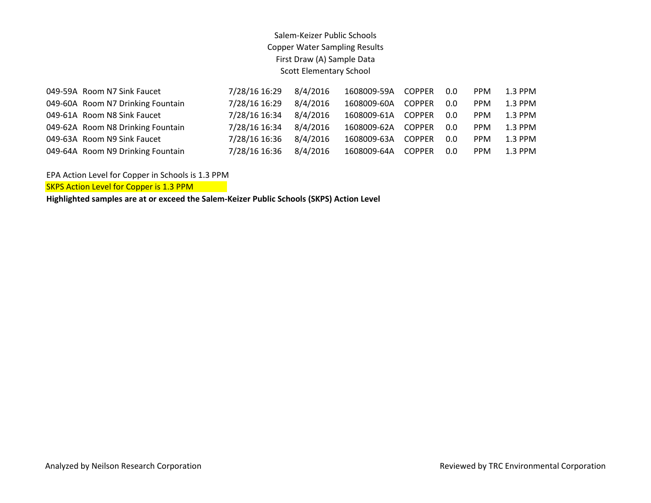| 049-59A Room N7 Sink Faucet       | 7/28/16 16:29 | 8/4/2016 | 1608009-59A | COPPER        | 0.0 | <b>PPM</b> | $1.3$ PPM |
|-----------------------------------|---------------|----------|-------------|---------------|-----|------------|-----------|
| 049-60A Room N7 Drinking Fountain | 7/28/16 16:29 | 8/4/2016 | 1608009-60A | <b>COPPER</b> | 0.0 | <b>PPM</b> | $1.3$ PPM |
| 049-61A Room N8 Sink Faucet       | 7/28/16 16:34 | 8/4/2016 | 1608009-61A | <b>COPPER</b> | 0.0 | <b>PPM</b> | $1.3$ PPM |
| 049-62A Room N8 Drinking Fountain | 7/28/16 16:34 | 8/4/2016 | 1608009-62A | <b>COPPER</b> | 0.0 | <b>PPM</b> | $1.3$ PPM |
| 049-63A Room N9 Sink Faucet       | 7/28/16 16:36 | 8/4/2016 | 1608009-63A | <b>COPPER</b> | 0.0 | <b>PPM</b> | $1.3$ PPM |
| 049-64A Room N9 Drinking Fountain | 7/28/16 16:36 | 8/4/2016 | 1608009-64A | <b>COPPER</b> | 0.0 | <b>PPM</b> | $1.3$ PPM |

EPA Action Level for Copper in Schools is 1.3 PPM

SKPS Action Level for Copper is 1.3 PPM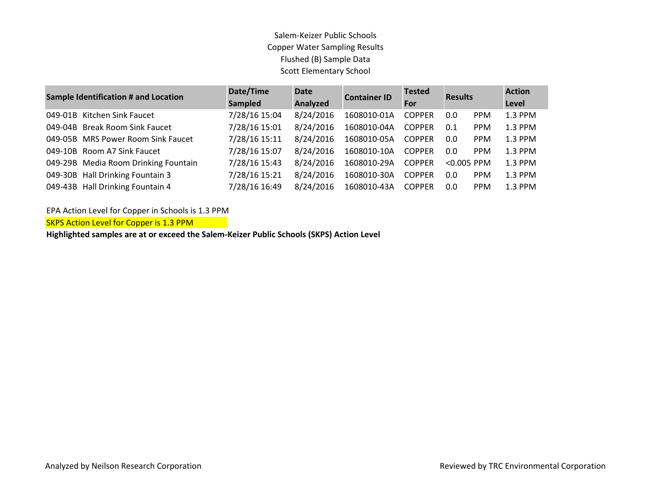| <b>Sample Identification # and Location</b> | Date/Time                            | <b>Date</b>   | <b>Container ID</b> | <b>Tested</b> | <b>Results</b> |               | <b>Action</b> |           |
|---------------------------------------------|--------------------------------------|---------------|---------------------|---------------|----------------|---------------|---------------|-----------|
|                                             |                                      | Sampled       | Analyzed            |               |                |               | For           | Level     |
| 049-01B                                     | Kitchen Sink Faucet                  | 7/28/16 15:04 | 8/24/2016           | 1608010-01A   | <b>COPPER</b>  | 0.0           | <b>PPM</b>    | 1.3 PPM   |
|                                             | 049-04B Break Room Sink Faucet       | 7/28/16 15:01 | 8/24/2016           | 1608010-04A   | <b>COPPER</b>  | 0.1           | <b>PPM</b>    | 1.3 PPM   |
|                                             | 049-05B MRS Power Room Sink Faucet   | 7/28/16 15:11 | 8/24/2016           | 1608010-05A   | <b>COPPER</b>  | 0.0           | <b>PPM</b>    | 1.3 PPM   |
|                                             | 049-10B Room A7 Sink Faucet          | 7/28/16 15:07 | 8/24/2016           | 1608010-10A   | <b>COPPER</b>  | 0.0           | <b>PPM</b>    | 1.3 PPM   |
|                                             | 049-29B Media Room Drinking Fountain | 7/28/16 15:43 | 8/24/2016           | 1608010-29A   | <b>COPPER</b>  | $< 0.005$ PPM |               | $1.3$ PPM |
|                                             | 049-30B Hall Drinking Fountain 3     | 7/28/16 15:21 | 8/24/2016           | 1608010-30A   | <b>COPPER</b>  | 0.0           | <b>PPM</b>    | 1.3 PPM   |
|                                             | 049-43B Hall Drinking Fountain 4     | 7/28/16 16:49 | 8/24/2016           | 1608010-43A   | <b>COPPER</b>  | 0.0           | <b>PPM</b>    | $1.3$ PPM |

EPA Action Level for Copper in Schools is 1.3 PPM

SKPS Action Level for Copper is 1.3 PPM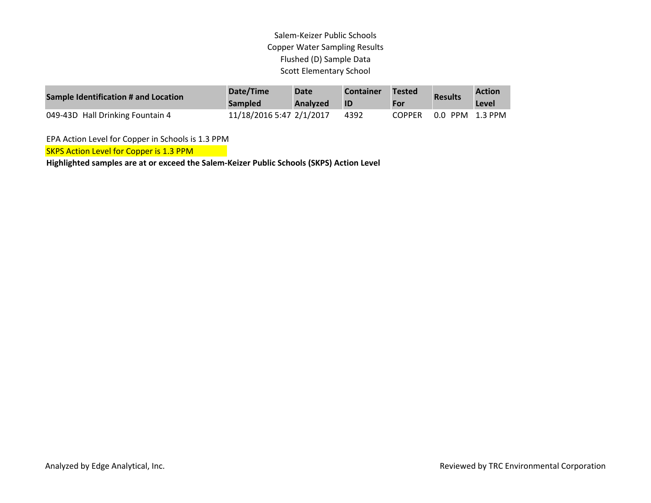| Sample Identification # and Location | Date/Time<br><b>Sampled</b> | Date<br><b>Analyzed</b> | <b>Container</b><br><b>ID</b> | <b>Tested</b><br>For | <b>Results</b> | <b>Action</b><br>Level |
|--------------------------------------|-----------------------------|-------------------------|-------------------------------|----------------------|----------------|------------------------|
| 049-43D Hall Drinking Fountain 4     | 11/18/2016 5:47 2/1/2017    |                         | 4392                          | <b>COPPER</b>        | $0.0\degree$   | PPM 1.3 PPM            |

EPA Action Level for Copper in Schools is 1.3 PPM

SKPS Action Level for Copper is 1.3 PPM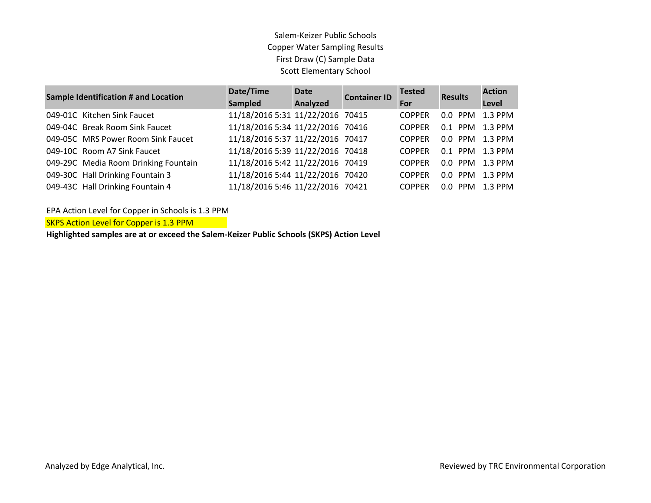| Sample Identification # and Location | Date/Time<br><b>Sampled</b>      | <b>Date</b><br>Analyzed | <b>Container ID</b> | <b>Tested</b><br>For | <b>Results</b>  | <b>Action</b><br>Level |
|--------------------------------------|----------------------------------|-------------------------|---------------------|----------------------|-----------------|------------------------|
| 049-01C Kitchen Sink Faucet          | 11/18/2016 5:31 11/22/2016 70415 |                         |                     | <b>COPPER</b>        | 0.0 PPM 1.3 PPM |                        |
| 049-04C Break Room Sink Faucet       | 11/18/2016 5:34 11/22/2016 70416 |                         |                     | <b>COPPER</b>        | 0.1 PPM 1.3 PPM |                        |
| 049-05C MRS Power Room Sink Faucet   | 11/18/2016 5:37 11/22/2016 70417 |                         |                     | <b>COPPER</b>        | 0.0 PPM 1.3 PPM |                        |
| 049-10C Room A7 Sink Faucet          | 11/18/2016 5:39 11/22/2016 70418 |                         |                     | <b>COPPER</b>        | 0.1 PPM 1.3 PPM |                        |
| 049-29C Media Room Drinking Fountain | 11/18/2016 5:42 11/22/2016 70419 |                         |                     | <b>COPPER</b>        | 0.0 PPM 1.3 PPM |                        |
| 049-30C Hall Drinking Fountain 3     | 11/18/2016 5:44 11/22/2016 70420 |                         |                     | <b>COPPER</b>        | 0.0 PPM 1.3 PPM |                        |
| 049-43C Hall Drinking Fountain 4     | 11/18/2016 5:46 11/22/2016 70421 |                         |                     | <b>COPPER</b>        | $0.0$ PPM       | $1.3$ PPM              |

EPA Action Level for Copper in Schools is 1.3 PPM

SKPS Action Level for Copper is 1.3 PPM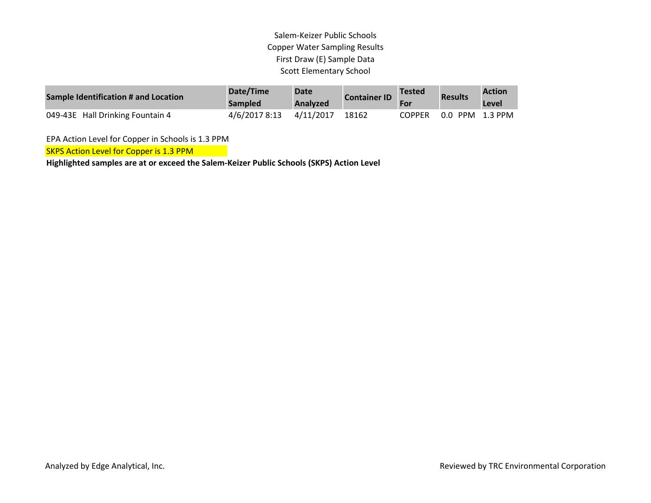| Sample Identification # and Location | Date/Time<br><b>Sampled</b> | <b>Date</b><br>Analyzed | <b>Container ID</b> | <b>Tested</b> | <b>Results</b>  | <b>Action</b><br>Level |
|--------------------------------------|-----------------------------|-------------------------|---------------------|---------------|-----------------|------------------------|
| 049-43E Hall Drinking Fountain 4     | 4/6/2017 8:13               | 4/11/2017               | 18162               | <b>COPPER</b> | 0.0 PPM 1.3 PPM |                        |

EPA Action Level for Copper in Schools is 1.3 PPM

SKPS Action Level for Copper is 1.3 PPM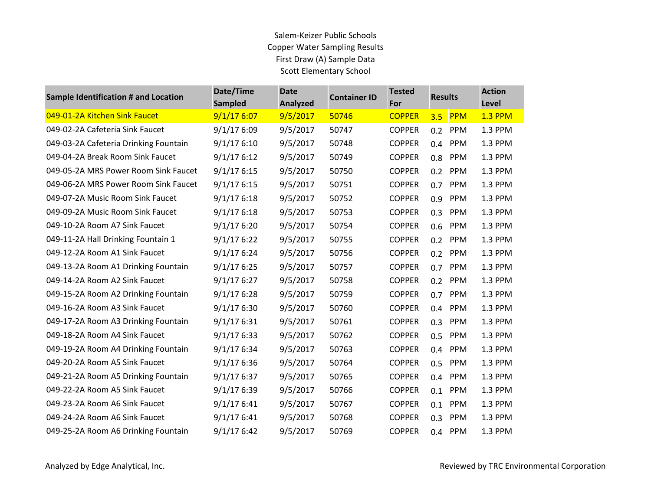| <b>Sample Identification # and Location</b> | Date/Time<br><b>Sampled</b> | <b>Date</b><br><b>Analyzed</b> | <b>Container ID</b> | <b>Tested</b><br>For | <b>Results</b>    | <b>Action</b><br>Level |
|---------------------------------------------|-----------------------------|--------------------------------|---------------------|----------------------|-------------------|------------------------|
| 049-01-2A Kitchen Sink Faucet               | 9/1/176:07                  | 9/5/2017                       | 50746               | <b>COPPER</b>        | 3.5<br><b>PPM</b> | <b>1.3 PPM</b>         |
| 049-02-2A Cafeteria Sink Faucet             | 9/1/176:09                  | 9/5/2017                       | 50747               | <b>COPPER</b>        | 0.2 PPM           | 1.3 PPM                |
| 049-03-2A Cafeteria Drinking Fountain       | 9/1/176:10                  | 9/5/2017                       | 50748               | <b>COPPER</b>        | 0.4 PPM           | 1.3 PPM                |
| 049-04-2A Break Room Sink Faucet            | 9/1/176:12                  | 9/5/2017                       | 50749               | <b>COPPER</b>        | PPM<br>0.8        | 1.3 PPM                |
| 049-05-2A MRS Power Room Sink Faucet        | 9/1/176:15                  | 9/5/2017                       | 50750               | <b>COPPER</b>        | <b>PPM</b><br>0.2 | 1.3 PPM                |
| 049-06-2A MRS Power Room Sink Faucet        | 9/1/176:15                  | 9/5/2017                       | 50751               | <b>COPPER</b>        | PPM<br>0.7        | 1.3 PPM                |
| 049-07-2A Music Room Sink Faucet            | 9/1/176:18                  | 9/5/2017                       | 50752               | <b>COPPER</b>        | PPM<br>0.9        | 1.3 PPM                |
| 049-09-2A Music Room Sink Faucet            | 9/1/176:18                  | 9/5/2017                       | 50753               | <b>COPPER</b>        | <b>PPM</b><br>0.3 | 1.3 PPM                |
| 049-10-2A Room A7 Sink Faucet               | 9/1/176:20                  | 9/5/2017                       | 50754               | <b>COPPER</b>        | 0.6<br><b>PPM</b> | 1.3 PPM                |
| 049-11-2A Hall Drinking Fountain 1          | 9/1/176:22                  | 9/5/2017                       | 50755               | <b>COPPER</b>        | PPM<br>0.2        | 1.3 PPM                |
| 049-12-2A Room A1 Sink Faucet               | 9/1/176:24                  | 9/5/2017                       | 50756               | <b>COPPER</b>        | PPM<br>0.2        | 1.3 PPM                |
| 049-13-2A Room A1 Drinking Fountain         | 9/1/176:25                  | 9/5/2017                       | 50757               | <b>COPPER</b>        | PPM<br>0.7        | 1.3 PPM                |
| 049-14-2A Room A2 Sink Faucet               | 9/1/176:27                  | 9/5/2017                       | 50758               | <b>COPPER</b>        | 0.2<br>PPM        | 1.3 PPM                |
| 049-15-2A Room A2 Drinking Fountain         | 9/1/176:28                  | 9/5/2017                       | 50759               | <b>COPPER</b>        | <b>PPM</b><br>0.7 | 1.3 PPM                |
| 049-16-2A Room A3 Sink Faucet               | 9/1/176:30                  | 9/5/2017                       | 50760               | <b>COPPER</b>        | 0.4 PPM           | 1.3 PPM                |
| 049-17-2A Room A3 Drinking Fountain         | 9/1/176:31                  | 9/5/2017                       | 50761               | <b>COPPER</b>        | <b>PPM</b><br>0.3 | 1.3 PPM                |
| 049-18-2A Room A4 Sink Faucet               | 9/1/176:33                  | 9/5/2017                       | 50762               | <b>COPPER</b>        | 0.5<br><b>PPM</b> | 1.3 PPM                |
| 049-19-2A Room A4 Drinking Fountain         | 9/1/176:34                  | 9/5/2017                       | 50763               | <b>COPPER</b>        | PPM<br>0.4        | 1.3 PPM                |
| 049-20-2A Room A5 Sink Faucet               | 9/1/176:36                  | 9/5/2017                       | 50764               | <b>COPPER</b>        | PPM<br>0.5        | 1.3 PPM                |
| 049-21-2A Room A5 Drinking Fountain         | 9/1/176:37                  | 9/5/2017                       | 50765               | <b>COPPER</b>        | PPM<br>0.4        | 1.3 PPM                |
| 049-22-2A Room A5 Sink Faucet               | 9/1/176:39                  | 9/5/2017                       | 50766               | <b>COPPER</b>        | PPM<br>0.1        | 1.3 PPM                |
| 049-23-2A Room A6 Sink Faucet               | 9/1/176:41                  | 9/5/2017                       | 50767               | <b>COPPER</b>        | <b>PPM</b><br>0.1 | 1.3 PPM                |
| 049-24-2A Room A6 Sink Faucet               | 9/1/176:41                  | 9/5/2017                       | 50768               | <b>COPPER</b>        | 0.3<br><b>PPM</b> | 1.3 PPM                |
| 049-25-2A Room A6 Drinking Fountain         | 9/1/176:42                  | 9/5/2017                       | 50769               | <b>COPPER</b>        | PPM<br>0.4        | 1.3 PPM                |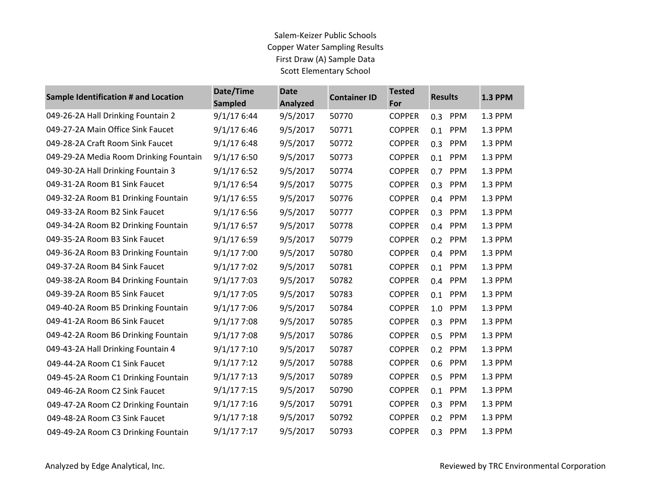| <b>Sample Identification # and Location</b> | Date/Time<br><b>Sampled</b> | <b>Date</b><br><b>Analyzed</b> | <b>Container ID</b> | <b>Tested</b><br>For | <b>Results</b>    | <b>1.3 PPM</b> |
|---------------------------------------------|-----------------------------|--------------------------------|---------------------|----------------------|-------------------|----------------|
| 049-26-2A Hall Drinking Fountain 2          | 9/1/176:44                  | 9/5/2017                       | 50770               | <b>COPPER</b>        | PPM<br>0.3        | 1.3 PPM        |
| 049-27-2A Main Office Sink Faucet           | 9/1/176:46                  | 9/5/2017                       | 50771               | <b>COPPER</b>        | PPM<br>0.1        | 1.3 PPM        |
| 049-28-2A Craft Room Sink Faucet            | 9/1/176:48                  | 9/5/2017                       | 50772               | <b>COPPER</b>        | PPM<br>0.3        | 1.3 PPM        |
| 049-29-2A Media Room Drinking Fountain      | 9/1/176:50                  | 9/5/2017                       | 50773               | <b>COPPER</b>        | PPM<br>0.1        | 1.3 PPM        |
| 049-30-2A Hall Drinking Fountain 3          | 9/1/176:52                  | 9/5/2017                       | 50774               | <b>COPPER</b>        | PPM<br>0.7        | 1.3 PPM        |
| 049-31-2A Room B1 Sink Faucet               | 9/1/176:54                  | 9/5/2017                       | 50775               | <b>COPPER</b>        | PPM<br>0.3        | 1.3 PPM        |
| 049-32-2A Room B1 Drinking Fountain         | 9/1/176:55                  | 9/5/2017                       | 50776               | <b>COPPER</b>        | PPM<br>0.4        | 1.3 PPM        |
| 049-33-2A Room B2 Sink Faucet               | 9/1/176:56                  | 9/5/2017                       | 50777               | <b>COPPER</b>        | PPM<br>0.3        | 1.3 PPM        |
| 049-34-2A Room B2 Drinking Fountain         | 9/1/176:57                  | 9/5/2017                       | 50778               | <b>COPPER</b>        | PPM<br>0.4        | 1.3 PPM        |
| 049-35-2A Room B3 Sink Faucet               | 9/1/176:59                  | 9/5/2017                       | 50779               | <b>COPPER</b>        | PPM<br>0.2        | 1.3 PPM        |
| 049-36-2A Room B3 Drinking Fountain         | 9/1/177:00                  | 9/5/2017                       | 50780               | <b>COPPER</b>        | 0.4<br>PPM        | 1.3 PPM        |
| 049-37-2A Room B4 Sink Faucet               | 9/1/177:02                  | 9/5/2017                       | 50781               | <b>COPPER</b>        | PPM<br>0.1        | 1.3 PPM        |
| 049-38-2A Room B4 Drinking Fountain         | 9/1/177:03                  | 9/5/2017                       | 50782               | <b>COPPER</b>        | PPM<br>0.4        | 1.3 PPM        |
| 049-39-2A Room B5 Sink Faucet               | 9/1/177:05                  | 9/5/2017                       | 50783               | <b>COPPER</b>        | PPM<br>0.1        | 1.3 PPM        |
| 049-40-2A Room B5 Drinking Fountain         | 9/1/177:06                  | 9/5/2017                       | 50784               | <b>COPPER</b>        | <b>PPM</b><br>1.0 | 1.3 PPM        |
| 049-41-2A Room B6 Sink Faucet               | 9/1/177:08                  | 9/5/2017                       | 50785               | <b>COPPER</b>        | PPM<br>0.3        | 1.3 PPM        |
| 049-42-2A Room B6 Drinking Fountain         | 9/1/177:08                  | 9/5/2017                       | 50786               | <b>COPPER</b>        | PPM<br>0.5        | 1.3 PPM        |
| 049-43-2A Hall Drinking Fountain 4          | 9/1/177:10                  | 9/5/2017                       | 50787               | <b>COPPER</b>        | PPM<br>0.2        | 1.3 PPM        |
| 049-44-2A Room C1 Sink Faucet               | 9/1/177:12                  | 9/5/2017                       | 50788               | <b>COPPER</b>        | 0.6<br>PPM        | 1.3 PPM        |
| 049-45-2A Room C1 Drinking Fountain         | 9/1/177:13                  | 9/5/2017                       | 50789               | <b>COPPER</b>        | PPM<br>0.5        | 1.3 PPM        |
| 049-46-2A Room C2 Sink Faucet               | 9/1/177:15                  | 9/5/2017                       | 50790               | <b>COPPER</b>        | PPM<br>0.1        | 1.3 PPM        |
| 049-47-2A Room C2 Drinking Fountain         | 9/1/177:16                  | 9/5/2017                       | 50791               | <b>COPPER</b>        | PPM<br>0.3        | 1.3 PPM        |
| 049-48-2A Room C3 Sink Faucet               | 9/1/177:18                  | 9/5/2017                       | 50792               | <b>COPPER</b>        | PPM<br>0.2        | 1.3 PPM        |
| 049-49-2A Room C3 Drinking Fountain         | 9/1/177:17                  | 9/5/2017                       | 50793               | <b>COPPER</b>        | PPM<br>0.3        | 1.3 PPM        |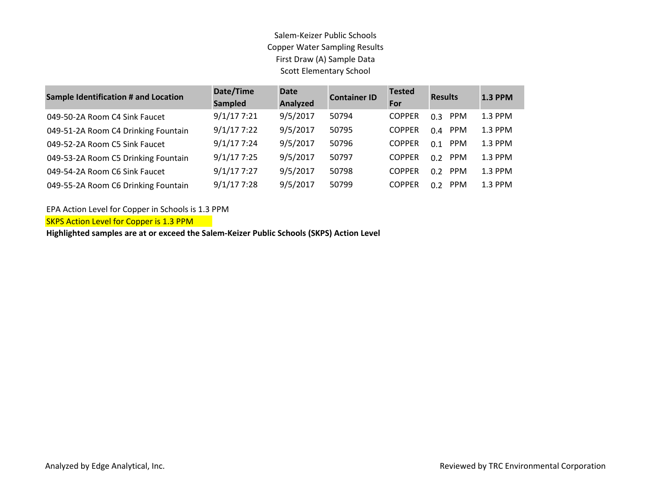| <b>Sample Identification # and Location</b> | Date/Time<br>Sampled | <b>Date</b><br>Analyzed | <b>Container ID</b> | <b>Tested</b><br>For | <b>Results</b>    | <b>1.3 PPM</b> |
|---------------------------------------------|----------------------|-------------------------|---------------------|----------------------|-------------------|----------------|
| 049-50-2A Room C4 Sink Faucet               | 9/1/177:21           | 9/5/2017                | 50794               | <b>COPPER</b>        | <b>PPM</b><br>0.3 | 1.3 PPM        |
| 049-51-2A Room C4 Drinking Fountain         | 9/1/177:22           | 9/5/2017                | 50795               | <b>COPPER</b>        | <b>PPM</b><br>0.4 | 1.3 PPM        |
| 049-52-2A Room C5 Sink Faucet               | 9/1/177:24           | 9/5/2017                | 50796               | <b>COPPER</b>        | <b>PPM</b><br>0.1 | 1.3 PPM        |
| 049-53-2A Room C5 Drinking Fountain         | 9/1/177:25           | 9/5/2017                | 50797               | <b>COPPER</b>        | <b>PPM</b><br>በ ን | 1.3 PPM        |
| 049-54-2A Room C6 Sink Faucet               | 9/1/177:27           | 9/5/2017                | 50798               | <b>COPPER</b>        | <b>PPM</b><br>0.2 | 1.3 PPM        |
| 049-55-2A Room C6 Drinking Fountain         | 9/1/177:28           | 9/5/2017                | 50799               | <b>COPPER</b>        | <b>PPM</b><br>በ ን | 1.3 PPM        |

EPA Action Level for Copper in Schools is 1.3 PPM

SKPS Action Level for Copper is 1.3 PPM